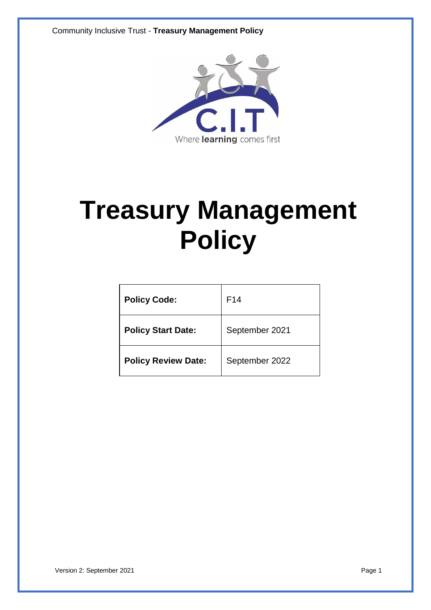Community Inclusive Trust - **Treasury Management Policy**



# **Treasury Management Policy**

| <b>Policy Code:</b>        | F <sub>14</sub> |
|----------------------------|-----------------|
| <b>Policy Start Date:</b>  | September 2021  |
| <b>Policy Review Date:</b> | September 2022  |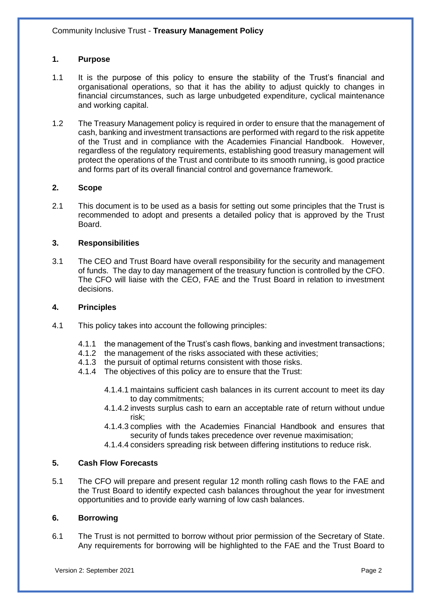# **1. Purpose**

- 1.1 It is the purpose of this policy to ensure the stability of the Trust's financial and organisational operations, so that it has the ability to adjust quickly to changes in financial circumstances, such as large unbudgeted expenditure, cyclical maintenance and working capital.
- 1.2 The Treasury Management policy is required in order to ensure that the management of cash, banking and investment transactions are performed with regard to the risk appetite of the Trust and in compliance with the Academies Financial Handbook. However, regardless of the regulatory requirements, establishing good treasury management will protect the operations of the Trust and contribute to its smooth running, is good practice and forms part of its overall financial control and governance framework.

## **2. Scope**

2.1 This document is to be used as a basis for setting out some principles that the Trust is recommended to adopt and presents a detailed policy that is approved by the Trust Board.

## **3. Responsibilities**

3.1 The CEO and Trust Board have overall responsibility for the security and management of funds. The day to day management of the treasury function is controlled by the CFO. The CFO will liaise with the CEO, FAE and the Trust Board in relation to investment decisions.

#### **4. Principles**

- 4.1 This policy takes into account the following principles:
	- 4.1.1 the management of the Trust's cash flows, banking and investment transactions;
	- 4.1.2 the management of the risks associated with these activities;<br>4.1.3 the pursuit of optimal returns consistent with those risks.
	- the pursuit of optimal returns consistent with those risks.
	- 4.1.4 The objectives of this policy are to ensure that the Trust:
		- 4.1.4.1 maintains sufficient cash balances in its current account to meet its day to day commitments;
		- 4.1.4.2 invests surplus cash to earn an acceptable rate of return without undue risk;
		- 4.1.4.3 complies with the Academies Financial Handbook and ensures that security of funds takes precedence over revenue maximisation;
		- 4.1.4.4 considers spreading risk between differing institutions to reduce risk.

# **5. Cash Flow Forecasts**

5.1 The CFO will prepare and present regular 12 month rolling cash flows to the FAE and the Trust Board to identify expected cash balances throughout the year for investment opportunities and to provide early warning of low cash balances.

#### **6. Borrowing**

6.1 The Trust is not permitted to borrow without prior permission of the Secretary of State. Any requirements for borrowing will be highlighted to the FAE and the Trust Board to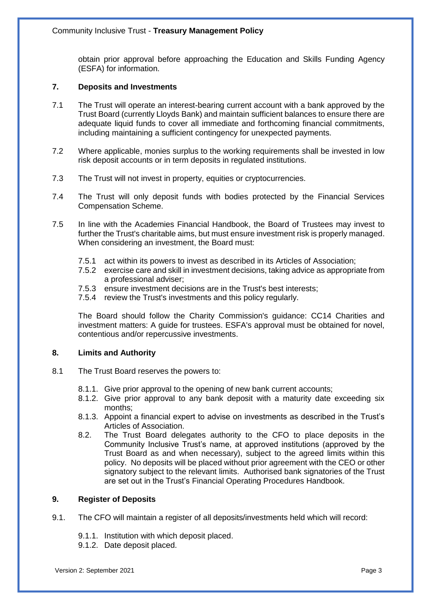obtain prior approval before approaching the Education and Skills Funding Agency (ESFA) for information.

# **7. Deposits and Investments**

- 7.1 The Trust will operate an interest-bearing current account with a bank approved by the Trust Board (currently Lloyds Bank) and maintain sufficient balances to ensure there are adequate liquid funds to cover all immediate and forthcoming financial commitments, including maintaining a sufficient contingency for unexpected payments.
- 7.2 Where applicable, monies surplus to the working requirements shall be invested in low risk deposit accounts or in term deposits in regulated institutions.
- 7.3 The Trust will not invest in property, equities or cryptocurrencies.
- 7.4 The Trust will only deposit funds with bodies protected by the Financial Services Compensation Scheme.
- 7.5 In line with the Academies Financial Handbook, the Board of Trustees may invest to further the Trust's charitable aims, but must ensure investment risk is properly managed. When considering an investment, the Board must:
	- 7.5.1 act within its powers to invest as described in its Articles of Association;
	- 7.5.2 exercise care and skill in investment decisions, taking advice as appropriate from a professional adviser;
	- 7.5.3 ensure investment decisions are in the Trust's best interests;
	- 7.5.4 review the Trust's investments and this policy regularly.

The Board should follow the Charity Commission's guidance: CC14 Charities and investment matters: A guide for trustees. ESFA's approval must be obtained for novel, contentious and/or repercussive investments.

## **8. Limits and Authority**

- 8.1 The Trust Board reserves the powers to:
	- 8.1.1. Give prior approval to the opening of new bank current accounts;
	- 8.1.2. Give prior approval to any bank deposit with a maturity date exceeding six months;
	- 8.1.3. Appoint a financial expert to advise on investments as described in the Trust's Articles of Association.
	- 8.2. The Trust Board delegates authority to the CFO to place deposits in the Community Inclusive Trust's name, at approved institutions (approved by the Trust Board as and when necessary), subject to the agreed limits within this policy. No deposits will be placed without prior agreement with the CEO or other signatory subject to the relevant limits. Authorised bank signatories of the Trust are set out in the Trust's Financial Operating Procedures Handbook.

# **9. Register of Deposits**

- 9.1. The CFO will maintain a register of all deposits/investments held which will record:
	- 9.1.1. Institution with which deposit placed.
	- 9.1.2. Date deposit placed.